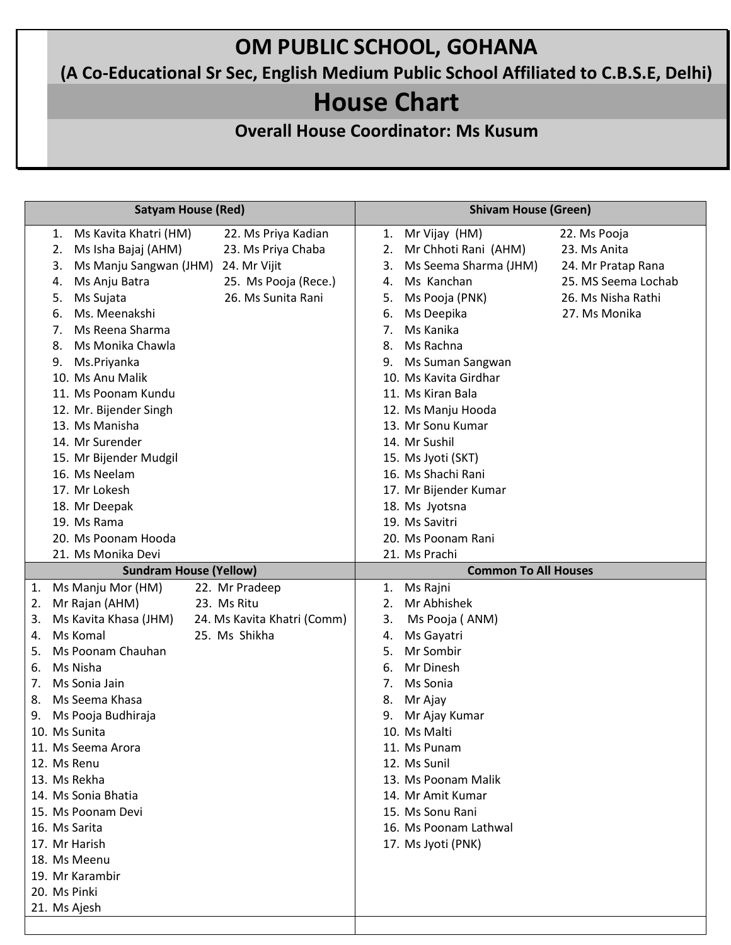## **OM PUBLIC SCHOOL, GOHANA**

**(A Co-Educational Sr Sec, English Medium Public School Affiliated to C.B.S.E, Delhi)**

## **House Chart**

**Overall House Coordinator: Ms Kusum**

| <b>Satyam House (Red)</b> |                               |  |                             | <b>Shivam House (Green)</b> |                       |                     |  |
|---------------------------|-------------------------------|--|-----------------------------|-----------------------------|-----------------------|---------------------|--|
|                           | Ms Kavita Khatri (HM)<br>1.   |  | 22. Ms Priya Kadian         | 1.                          | Mr Vijay (HM)         | 22. Ms Pooja        |  |
|                           | Ms Isha Bajaj (AHM)<br>2.     |  | 23. Ms Priya Chaba          | 2.                          | Mr Chhoti Rani (AHM)  | 23. Ms Anita        |  |
|                           | Ms Manju Sangwan (JHM)<br>3.  |  | 24. Mr Vijit                | 3.                          | Ms Seema Sharma (JHM) | 24. Mr Pratap Rana  |  |
|                           | Ms Anju Batra<br>4.           |  | 25. Ms Pooja (Rece.)        | 4.                          | Ms Kanchan            | 25. MS Seema Lochab |  |
|                           | Ms Sujata<br>5.               |  | 26. Ms Sunita Rani          | 5.                          | Ms Pooja (PNK)        | 26. Ms Nisha Rathi  |  |
|                           | Ms. Meenakshi<br>6.           |  |                             | 6.                          | Ms Deepika            | 27. Ms Monika       |  |
|                           | Ms Reena Sharma<br>7.         |  |                             | 7.                          | Ms Kanika             |                     |  |
|                           | Ms Monika Chawla<br>8.        |  |                             | 8.                          | Ms Rachna             |                     |  |
|                           | Ms.Priyanka<br>9.             |  |                             | 9.                          | Ms Suman Sangwan      |                     |  |
|                           | 10. Ms Anu Malik              |  |                             |                             | 10. Ms Kavita Girdhar |                     |  |
|                           | 11. Ms Poonam Kundu           |  |                             |                             | 11. Ms Kiran Bala     |                     |  |
|                           | 12. Mr. Bijender Singh        |  |                             |                             | 12. Ms Manju Hooda    |                     |  |
|                           | 13. Ms Manisha                |  |                             |                             | 13. Mr Sonu Kumar     |                     |  |
|                           | 14. Mr Surender               |  |                             |                             | 14. Mr Sushil         |                     |  |
|                           | 15. Mr Bijender Mudgil        |  |                             |                             | 15. Ms Jyoti (SKT)    |                     |  |
|                           | 16. Ms Neelam                 |  |                             |                             | 16. Ms Shachi Rani    |                     |  |
|                           | 17. Mr Lokesh                 |  |                             |                             | 17. Mr Bijender Kumar |                     |  |
|                           | 18. Mr Deepak                 |  |                             |                             | 18. Ms Jyotsna        |                     |  |
|                           | 19. Ms Rama                   |  |                             |                             | 19. Ms Savitri        |                     |  |
|                           | 20. Ms Poonam Hooda           |  |                             |                             | 20. Ms Poonam Rani    |                     |  |
|                           | 21. Ms Monika Devi            |  |                             |                             | 21. Ms Prachi         |                     |  |
|                           | <b>Sundram House (Yellow)</b> |  |                             | <b>Common To All Houses</b> |                       |                     |  |
|                           |                               |  |                             |                             |                       |                     |  |
| 1.                        | Ms Manju Mor (HM)             |  | 22. Mr Pradeep              | 1.                          | Ms Rajni              |                     |  |
| 2.                        | Mr Rajan (AHM)                |  | 23. Ms Ritu                 | $\overline{2}$ .            | Mr Abhishek           |                     |  |
| 3.                        | Ms Kavita Khasa (JHM)         |  | 24. Ms Kavita Khatri (Comm) | 3.                          | Ms Pooja (ANM)        |                     |  |
| 4.                        | Ms Komal                      |  | 25. Ms Shikha               | 4.                          | Ms Gayatri            |                     |  |
| 5.                        | Ms Poonam Chauhan             |  |                             | 5.                          | Mr Sombir             |                     |  |
| 6.                        | Ms Nisha                      |  |                             | 6.                          | Mr Dinesh             |                     |  |
| 7.                        | Ms Sonia Jain                 |  |                             | 7.                          | Ms Sonia              |                     |  |
| 8.                        | Ms Seema Khasa                |  |                             | 8.                          | Mr Ajay               |                     |  |
| 9.                        | Ms Pooja Budhiraja            |  |                             | 9.                          | Mr Ajay Kumar         |                     |  |
|                           | 10. Ms Sunita                 |  |                             |                             | 10. Ms Malti          |                     |  |
|                           | 11. Ms Seema Arora            |  |                             |                             | 11. Ms Punam          |                     |  |
|                           | 12. Ms Renu                   |  |                             |                             | 12. Ms Sunil          |                     |  |
|                           | 13. Ms Rekha                  |  |                             |                             | 13. Ms Poonam Malik   |                     |  |
|                           | 14. Ms Sonia Bhatia           |  |                             |                             | 14. Mr Amit Kumar     |                     |  |
|                           | 15. Ms Poonam Devi            |  |                             |                             | 15. Ms Sonu Rani      |                     |  |
|                           | 16. Ms Sarita                 |  |                             |                             | 16. Ms Poonam Lathwal |                     |  |
|                           | 17. Mr Harish                 |  |                             |                             | 17. Ms Jyoti (PNK)    |                     |  |
|                           | 18. Ms Meenu                  |  |                             |                             |                       |                     |  |
|                           | 19. Mr Karambir               |  |                             |                             |                       |                     |  |
|                           | 20. Ms Pinki                  |  |                             |                             |                       |                     |  |
|                           | 21. Ms Ajesh                  |  |                             |                             |                       |                     |  |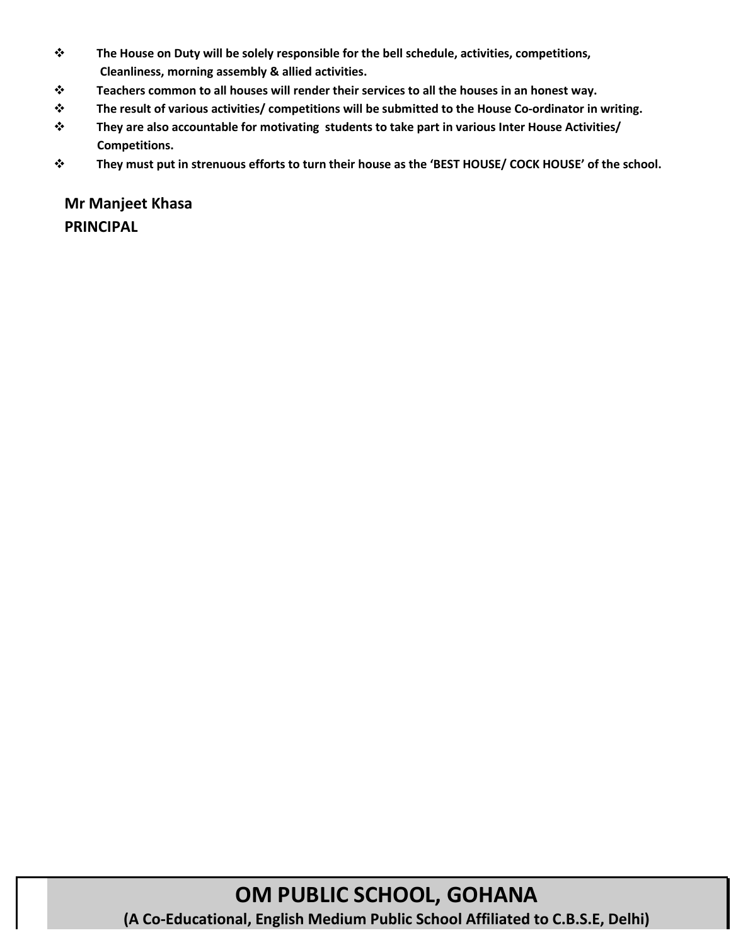- ❖ **The House on Duty will be solely responsible for the bell schedule, activities, competitions, Cleanliness, morning assembly & allied activities.**
- ❖ **Teachers common to all houses will render their services to all the houses in an honest way.**
- ❖ **The result of various activities/ competitions will be submitted to the House Co-ordinator in writing.**
- ❖ **They are also accountable for motivating students to take part in various Inter House Activities/ Competitions.**
- ❖ **They must put in strenuous efforts to turn their house as the 'BEST HOUSE/ COCK HOUSE' of the school.**

**Mr Manjeet Khasa PRINCIPAL**

> **OM PUBLIC SCHOOL, GOHANA (A Co-Educational, English Medium Public School Affiliated to C.B.S.E, Delhi)**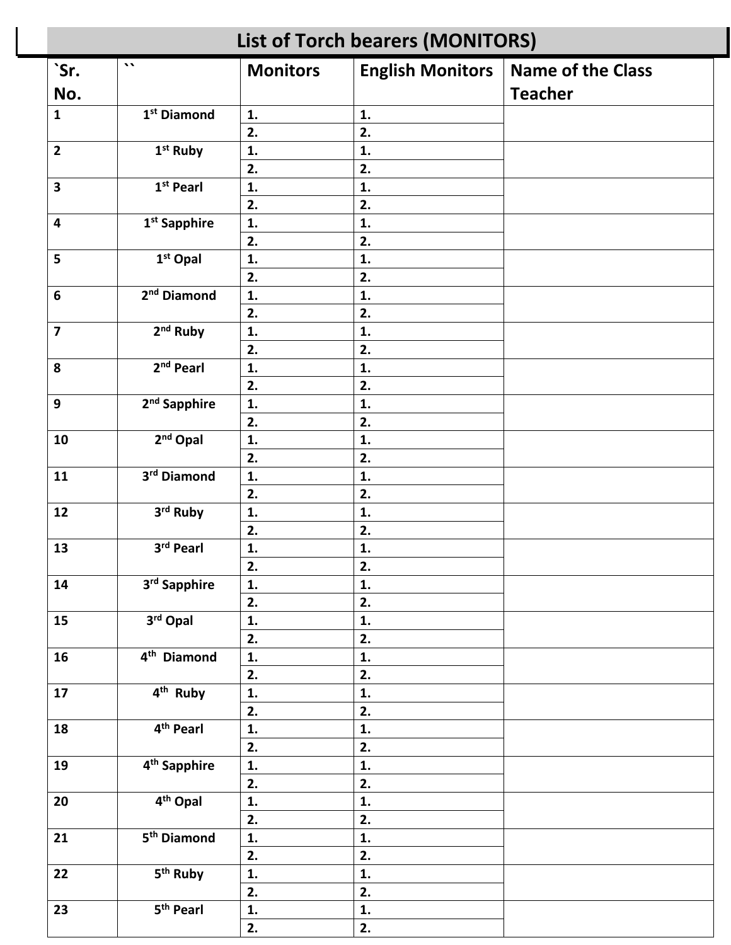| <b>List of Torch bearers (MONITORS)</b> |                          |                 |                         |                          |  |  |
|-----------------------------------------|--------------------------|-----------------|-------------------------|--------------------------|--|--|
| `Sr.                                    | $\lambda$                | <b>Monitors</b> | <b>English Monitors</b> | <b>Name of the Class</b> |  |  |
| No.                                     |                          |                 |                         | <b>Teacher</b>           |  |  |
| $\mathbf{1}$                            | 1 <sup>st</sup> Diamond  | 1.              | 1.                      |                          |  |  |
|                                         |                          | 2.              | 2.                      |                          |  |  |
| $\overline{2}$                          | 1 <sup>st</sup> Ruby     | 1.              | 1.                      |                          |  |  |
|                                         |                          | 2.              | 2.                      |                          |  |  |
| $\overline{\mathbf{3}}$                 | 1st Pearl                | 1.              | 1.                      |                          |  |  |
|                                         |                          | 2.              | 2.                      |                          |  |  |
| $\overline{\mathbf{4}}$                 | 1 <sup>st</sup> Sapphire | 1.              | 1.                      |                          |  |  |
|                                         |                          | 2.              | 2.                      |                          |  |  |
| 5                                       | $1st$ Opal               | 1.              | 1.                      |                          |  |  |
|                                         |                          | 2.              | 2.                      |                          |  |  |
| $\boldsymbol{6}$                        | 2 <sup>nd</sup> Diamond  | 1.              | 1.                      |                          |  |  |
|                                         |                          | 2.              | 2.                      |                          |  |  |
| $\overline{\mathbf{z}}$                 | 2 <sup>nd</sup> Ruby     | 1.              | 1.                      |                          |  |  |
|                                         |                          | 2.              | 2.                      |                          |  |  |
| 8                                       | 2 <sup>nd</sup> Pearl    | 1.              | 1.                      |                          |  |  |
|                                         |                          | 2.              | 2.                      |                          |  |  |
| $\mathbf{9}$                            | 2 <sup>nd</sup> Sapphire | 1.              | 1.                      |                          |  |  |
|                                         |                          | 2.              | 2.                      |                          |  |  |
| 10                                      | 2 <sup>nd</sup> Opal     | 1.              | 1.                      |                          |  |  |
|                                         |                          | 2.              | 2.                      |                          |  |  |
| 11                                      | 3rd Diamond              | 1.              | 1.                      |                          |  |  |
|                                         |                          | 2.              | 2.                      |                          |  |  |
| 12                                      | 3rd Ruby                 | 1.              | 1.                      |                          |  |  |
|                                         |                          | 2.              | 2.                      |                          |  |  |
| 13                                      | 3rd Pearl                | 1.              | 1.                      |                          |  |  |
|                                         |                          | 2.              | 2.                      |                          |  |  |
| 14                                      | 3rd Sapphire             | 1.              | 1.                      |                          |  |  |
|                                         |                          | 2.              | 2.                      |                          |  |  |
| 15                                      | 3rd Opal                 | 1.              | 1.                      |                          |  |  |
|                                         |                          | 2.              | 2.                      |                          |  |  |
| 16                                      | $4th$ Diamond            | 1.              | 1.                      |                          |  |  |
|                                         |                          | 2.              | 2.                      |                          |  |  |
| 17                                      | $4th$ Ruby               | 1.              | 1.                      |                          |  |  |
|                                         |                          | 2.              | 2.                      |                          |  |  |
| 18                                      | 4 <sup>th</sup> Pearl    | 1.              | 1.                      |                          |  |  |
|                                         |                          | 2.              | 2.                      |                          |  |  |
| 19                                      | 4 <sup>th</sup> Sapphire | 1.              | 1.                      |                          |  |  |
|                                         |                          | 2.              | 2.                      |                          |  |  |
| 20                                      | $4th$ Opal               | 1.              | 1.                      |                          |  |  |
|                                         |                          | 2.              | 2.                      |                          |  |  |
| 21                                      | 5 <sup>th</sup> Diamond  | 1.              | 1.                      |                          |  |  |
|                                         |                          | 2.              | 2.                      |                          |  |  |
| 22                                      | 5 <sup>th</sup> Ruby     | 1.              | 1.                      |                          |  |  |
|                                         |                          | 2.              | 2.                      |                          |  |  |
| 23                                      | 5 <sup>th</sup> Pearl    | 1.              | 1.                      |                          |  |  |
|                                         |                          | 2.              | 2.                      |                          |  |  |
|                                         |                          |                 |                         |                          |  |  |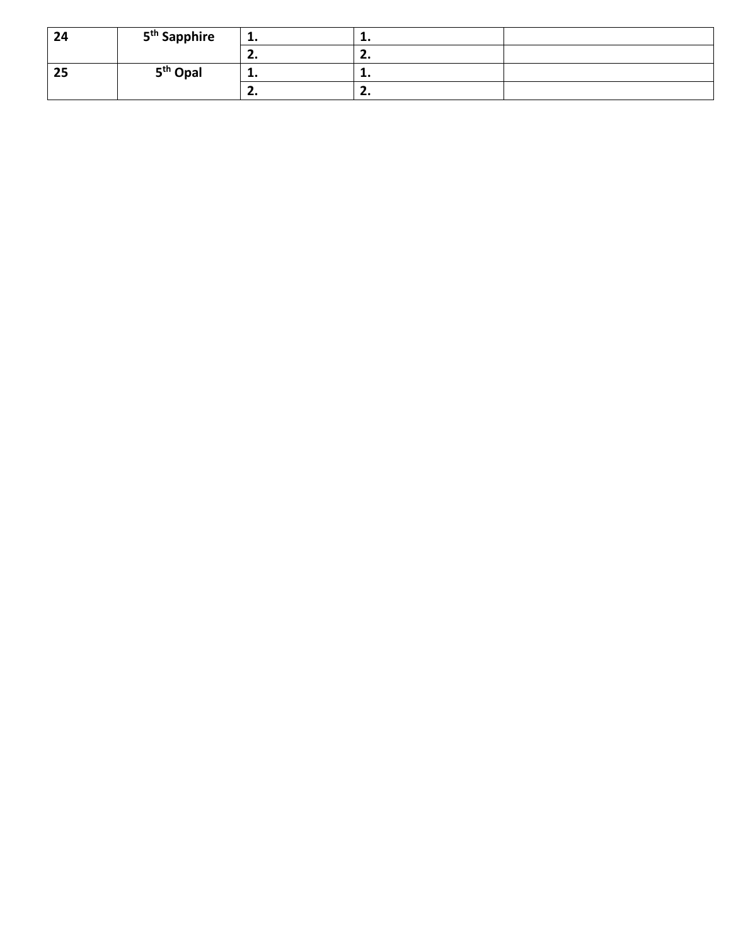| 24 | 5 <sup>th</sup> Sapphire | .   | . . |  |
|----|--------------------------|-----|-----|--|
|    |                          |     |     |  |
| 25 | 5 <sup>th</sup> Opal     | --  | . . |  |
|    |                          | . . | . . |  |